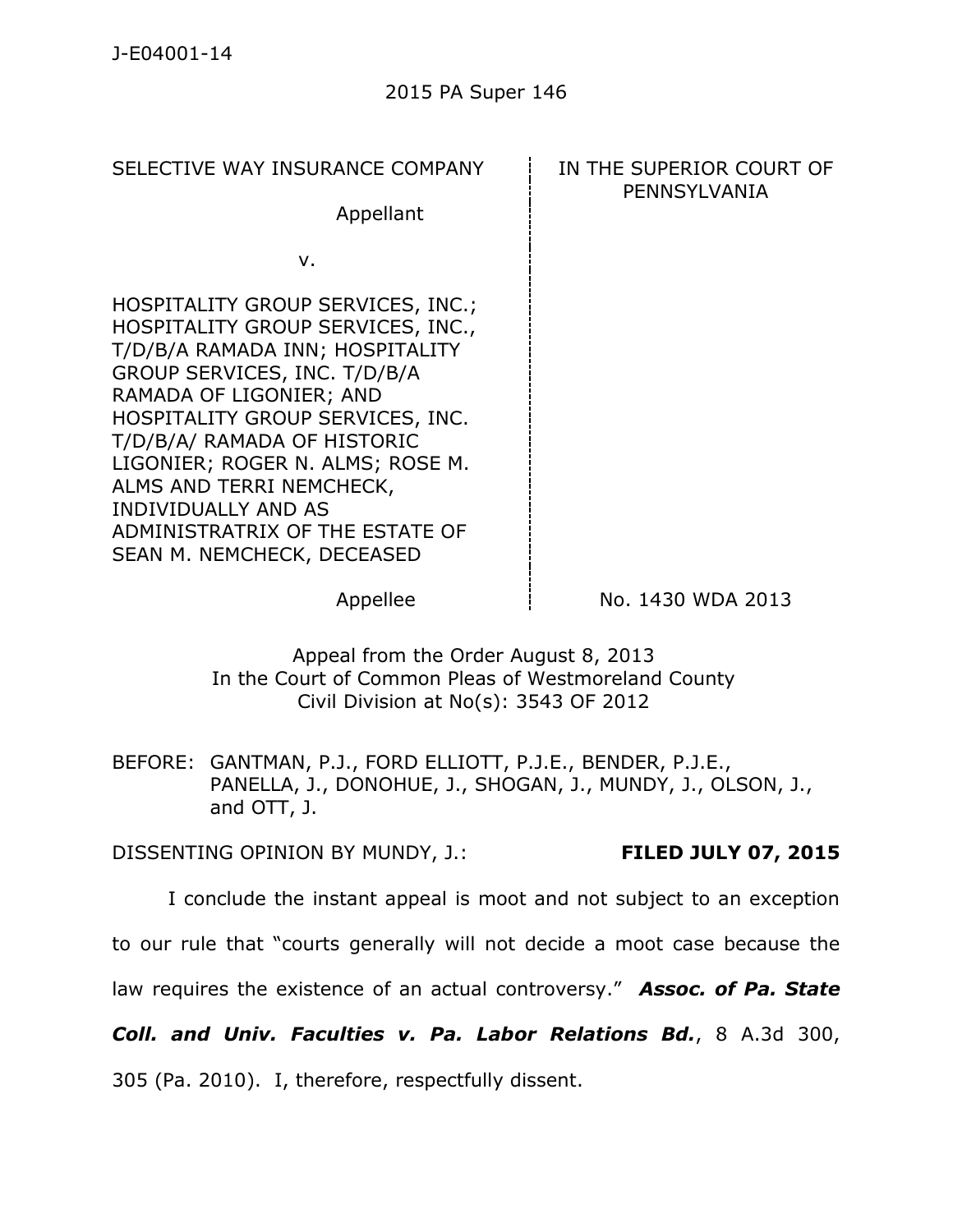SELECTIVE WAY INSURANCE COMPANY **IN THE SUPERIOR COURT OF** 

Appellant

v.

HOSPITALITY GROUP SERVICES, INC.; HOSPITALITY GROUP SERVICES, INC., T/D/B/A RAMADA INN; HOSPITALITY GROUP SERVICES, INC. T/D/B/A RAMADA OF LIGONIER; AND HOSPITALITY GROUP SERVICES, INC. T/D/B/A/ RAMADA OF HISTORIC LIGONIER; ROGER N. ALMS; ROSE M. ALMS AND TERRI NEMCHECK, INDIVIDUALLY AND AS ADMINISTRATRIX OF THE ESTATE OF SEAN M. NEMCHECK, DECEASED

## PENNSYLVANIA

 $\Delta$  Appellee  $\angle$  No. 1430 WDA 2013

Appeal from the Order August 8, 2013 In the Court of Common Pleas of Westmoreland County Civil Division at No(s): 3543 OF 2012

BEFORE: GANTMAN, P.J., FORD ELLIOTT, P.J.E., BENDER, P.J.E., PANELLA, J., DONOHUE, J., SHOGAN, J., MUNDY, J., OLSON, J., and OTT, J.

DISSENTING OPINION BY MUNDY, J.: **FILED JULY 07, 2015**

I conclude the instant appeal is moot and not subject to an exception

to our rule that "courts generally will not decide a moot case because the

law requires the existence of an actual controversy." *Assoc. of Pa. State* 

*Coll. and Univ. Faculties v. Pa. Labor Relations Bd.*, 8 A.3d 300,

305 (Pa. 2010). I, therefore, respectfully dissent.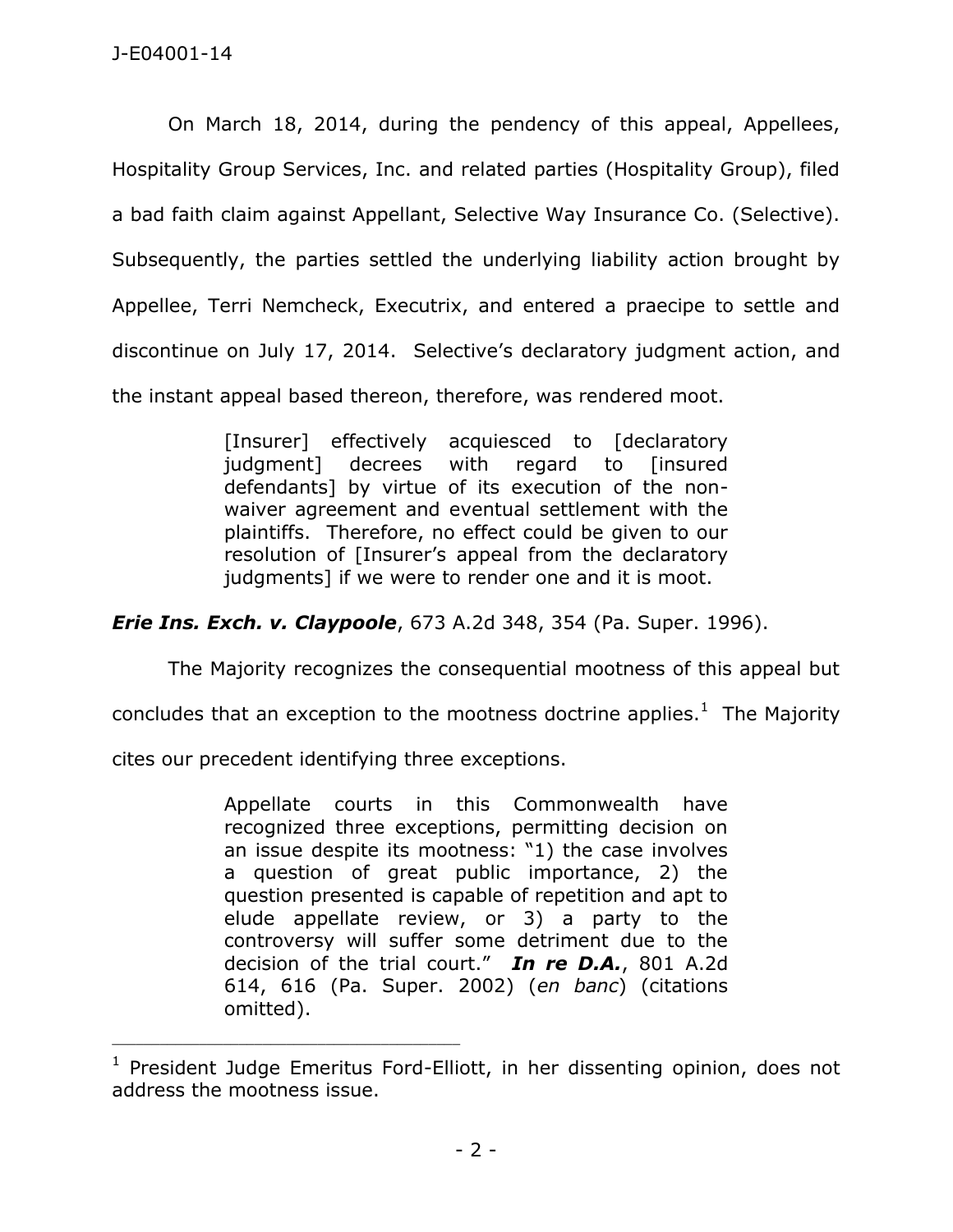On March 18, 2014, during the pendency of this appeal, Appellees, Hospitality Group Services, Inc. and related parties (Hospitality Group), filed a bad faith claim against Appellant, Selective Way Insurance Co. (Selective). Subsequently, the parties settled the underlying liability action brought by Appellee, Terri Nemcheck, Executrix, and entered a praecipe to settle and discontinue on July 17, 2014. Selective's declaratory judgment action, and the instant appeal based thereon, therefore, was rendered moot.

> [Insurer] effectively acquiesced to [declaratory judgment] decrees with regard to [insured defendants] by virtue of its execution of the nonwaiver agreement and eventual settlement with the plaintiffs. Therefore, no effect could be given to our resolution of [Insurer's appeal from the declaratory judgments] if we were to render one and it is moot.

*Erie Ins. Exch. v. Claypoole*, 673 A.2d 348, 354 (Pa. Super. 1996).

The Majority recognizes the consequential mootness of this appeal but

concludes that an exception to the mootness doctrine applies. $1$  The Majority

cites our precedent identifying three exceptions.

\_\_\_\_\_\_\_\_\_\_\_\_\_\_\_\_\_\_\_\_\_\_\_\_\_\_\_\_\_\_\_\_\_\_\_\_\_\_\_\_\_\_\_\_

Appellate courts in this Commonwealth have recognized three exceptions, permitting decision on an issue despite its mootness: "1) the case involves a question of great public importance, 2) the question presented is capable of repetition and apt to elude appellate review, or 3) a party to the controversy will suffer some detriment due to the decision of the trial court." *In re D.A.*, 801 A.2d 614, 616 (Pa. Super. 2002) (*en banc*) (citations omitted).

<sup>&</sup>lt;sup>1</sup> President Judge Emeritus Ford-Elliott, in her dissenting opinion, does not address the mootness issue.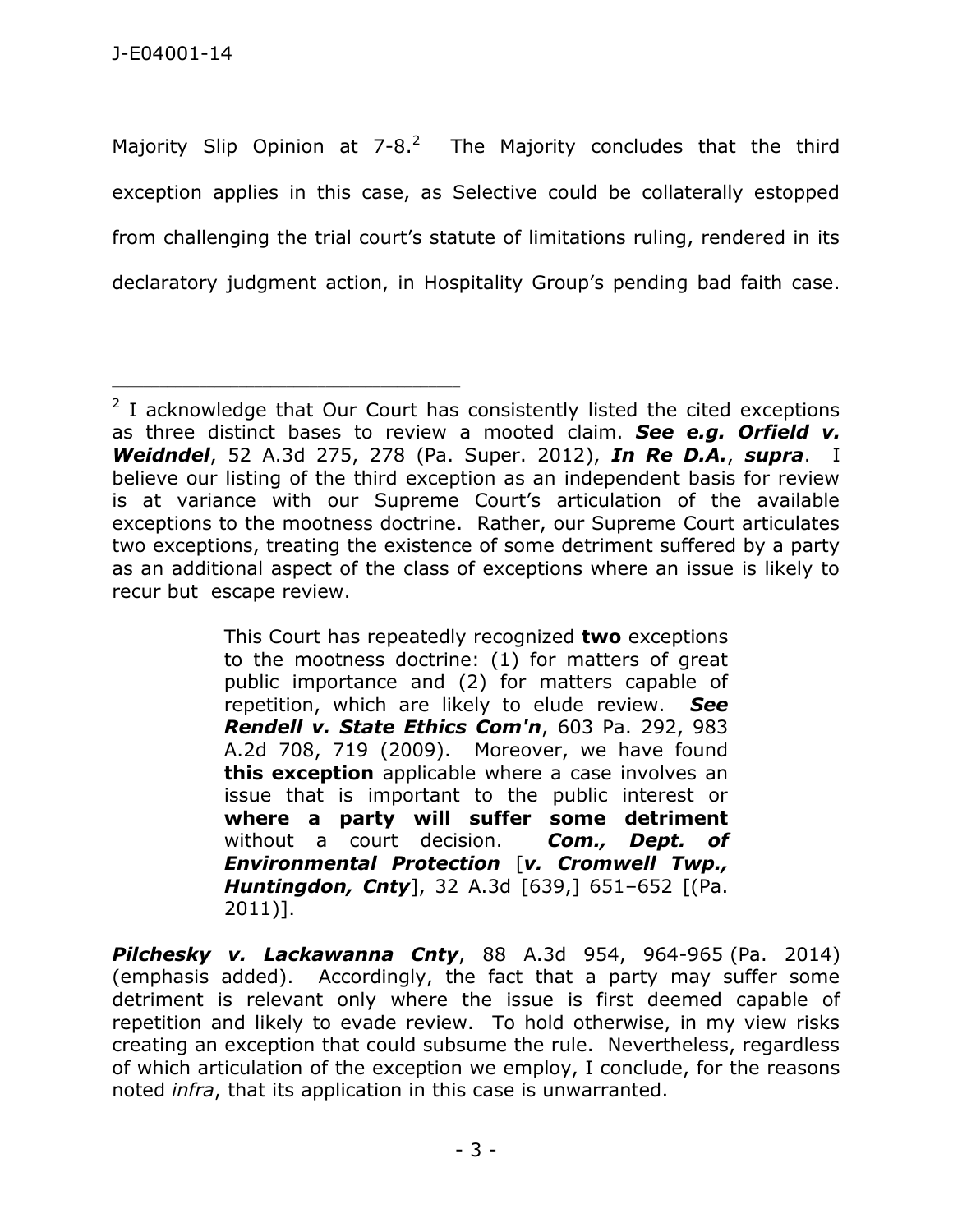\_\_\_\_\_\_\_\_\_\_\_\_\_\_\_\_\_\_\_\_\_\_\_\_\_\_\_\_\_\_\_\_\_\_\_\_\_\_\_\_\_\_\_\_

Majority Slip Opinion at 7-8.<sup>2</sup> The Majority concludes that the third exception applies in this case, as Selective could be collaterally estopped from challenging the trial court's statute of limitations ruling, rendered in its declaratory judgment action, in Hospitality Group's pending bad faith case.

This Court has repeatedly recognized **two** exceptions to the mootness doctrine: (1) for matters of great public importance and (2) for matters capable of repetition, which are likely to elude review. *See Rendell v. State Ethics Com'n*, 603 Pa. 292, 983 A.2d 708, 719 (2009). Moreover, we have found **this exception** applicable where a case involves an issue that is important to the public interest or **where a party will suffer some detriment** without a court decision. *Com., Dept. of Environmental Protection* [*v. Cromwell Twp., Huntingdon, Cnty*], 32 A.3d [639,] 651–652 [(Pa. 2011)].

*Pilchesky v. Lackawanna Cnty*, 88 A.3d 954, 964-965 (Pa. 2014) (emphasis added). Accordingly, the fact that a party may suffer some detriment is relevant only where the issue is first deemed capable of repetition and likely to evade review. To hold otherwise, in my view risks creating an exception that could subsume the rule. Nevertheless, regardless of which articulation of the exception we employ, I conclude, for the reasons noted *infra*, that its application in this case is unwarranted.

 $2$  I acknowledge that Our Court has consistently listed the cited exceptions as three distinct bases to review a mooted claim. *See e.g. Orfield v. Weidndel*, 52 A.3d 275, 278 (Pa. Super. 2012), *In Re D.A.*, *supra*. I believe our listing of the third exception as an independent basis for review is at variance with our Supreme Court's articulation of the available exceptions to the mootness doctrine. Rather, our Supreme Court articulates two exceptions, treating the existence of some detriment suffered by a party as an additional aspect of the class of exceptions where an issue is likely to recur but escape review.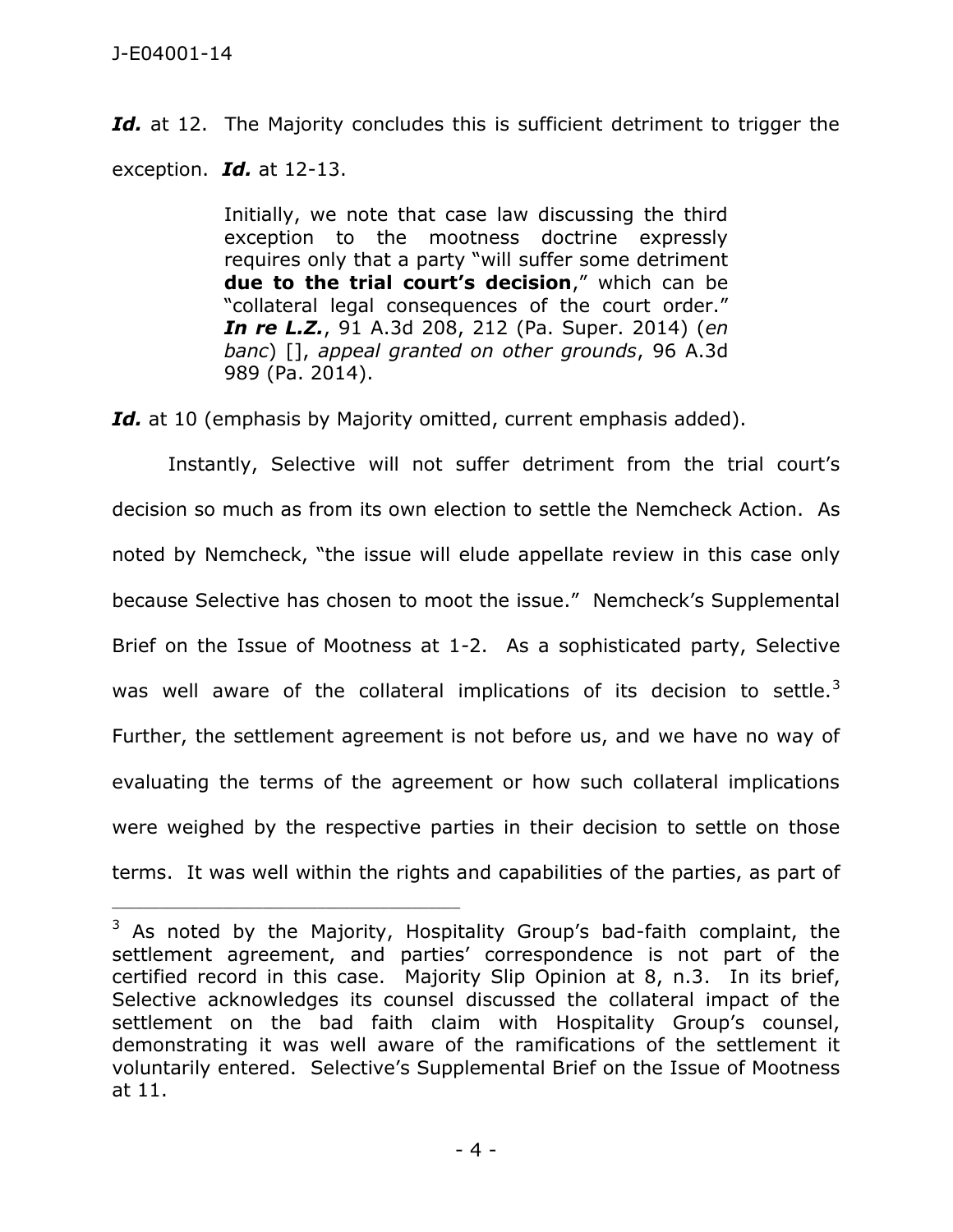Id. at 12. The Majority concludes this is sufficient detriment to trigger the exception. *Id.* at 12-13.

> Initially, we note that case law discussing the third exception to the mootness doctrine expressly requires only that a party "will suffer some detriment **due to the trial court's decision**," which can be "collateral legal consequences of the court order." *In re L.Z.*, 91 A.3d 208, 212 (Pa. Super. 2014) (*en banc*) [], *appeal granted on other grounds*, 96 A.3d 989 (Pa. 2014).

Id. at 10 (emphasis by Majority omitted, current emphasis added).

Instantly, Selective will not suffer detriment from the trial court's decision so much as from its own election to settle the Nemcheck Action. As noted by Nemcheck, "the issue will elude appellate review in this case only because Selective has chosen to moot the issue." Nemcheck's Supplemental Brief on the Issue of Mootness at 1-2. As a sophisticated party, Selective was well aware of the collateral implications of its decision to settle. $3$ Further, the settlement agreement is not before us, and we have no way of evaluating the terms of the agreement or how such collateral implications were weighed by the respective parties in their decision to settle on those terms. It was well within the rights and capabilities of the parties, as part of

 $3$  As noted by the Majority, Hospitality Group's bad-faith complaint, the settlement agreement, and parties' correspondence is not part of the certified record in this case. Majority Slip Opinion at 8, n.3. In its brief, Selective acknowledges its counsel discussed the collateral impact of the settlement on the bad faith claim with Hospitality Group's counsel, demonstrating it was well aware of the ramifications of the settlement it voluntarily entered. Selective's Supplemental Brief on the Issue of Mootness at 11.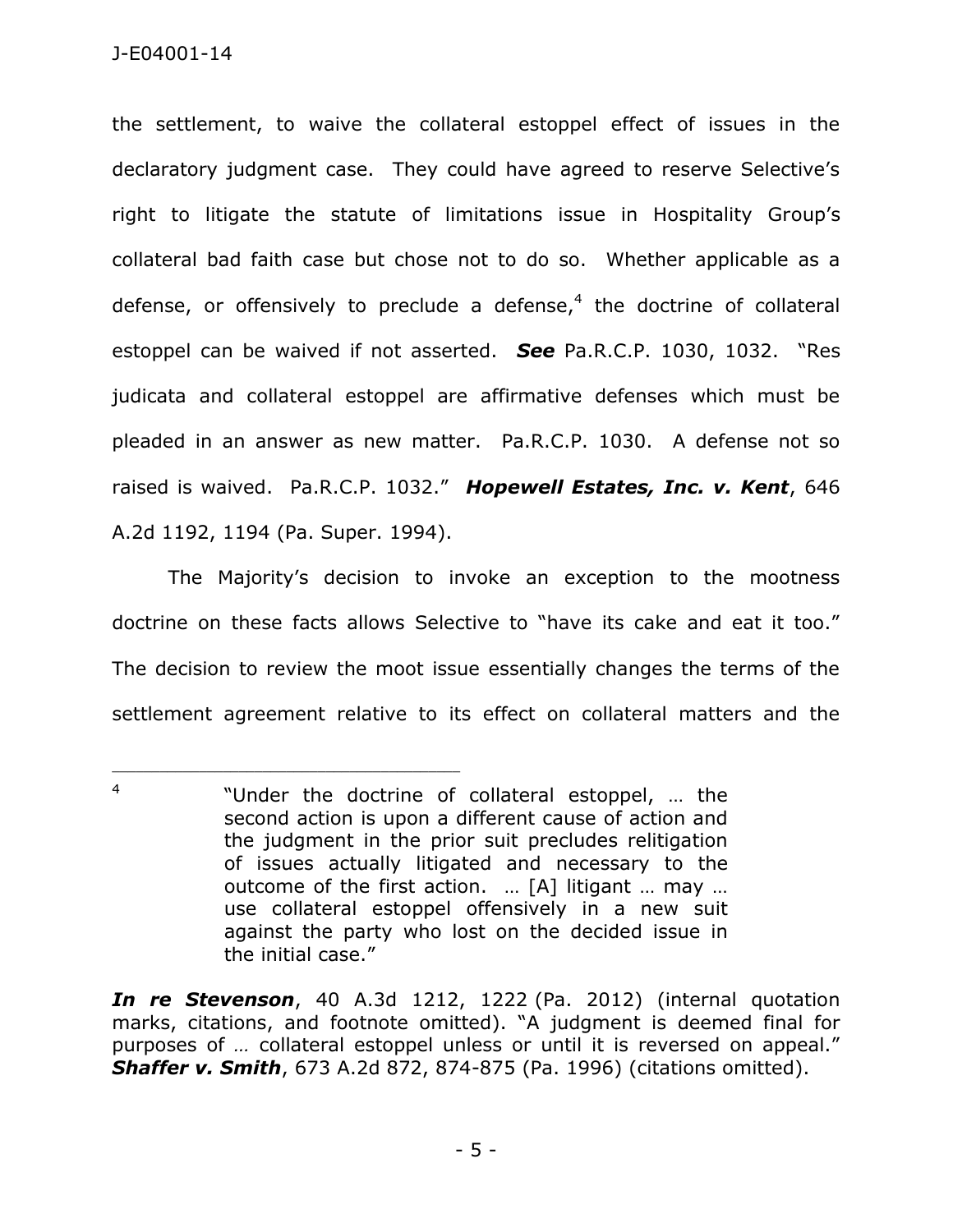the settlement, to waive the collateral estoppel effect of issues in the declaratory judgment case. They could have agreed to reserve Selective's right to litigate the statute of limitations issue in Hospitality Group's collateral bad faith case but chose not to do so. Whether applicable as a defense, or offensively to preclude a defense,<sup>4</sup> the doctrine of collateral estoppel can be waived if not asserted. *See* Pa.R.C.P. 1030, 1032. "Res judicata and collateral estoppel are affirmative defenses which must be pleaded in an answer as new matter. Pa.R.C.P. 1030. A defense not so raised is waived. Pa.R.C.P. 1032." *Hopewell Estates, Inc. v. Kent*, 646 A.2d 1192, 1194 (Pa. Super. 1994).

The Majority's decision to invoke an exception to the mootness doctrine on these facts allows Selective to "have its cake and eat it too." The decision to review the moot issue essentially changes the terms of the settlement agreement relative to its effect on collateral matters and the

\_\_\_\_\_\_\_\_\_\_\_\_\_\_\_\_\_\_\_\_\_\_\_\_\_\_\_\_\_\_\_\_\_\_\_\_\_\_\_\_\_\_\_\_

*In re Stevenson*, 40 A.3d 1212, 1222 (Pa. 2012) (internal quotation marks, citations, and footnote omitted). "A judgment is deemed final for purposes of *…* collateral estoppel unless or until it is reversed on appeal." *Shaffer v. Smith*, 673 A.2d 872, 874-875 (Pa. 1996) (citations omitted).

<sup>4</sup> "Under the doctrine of collateral estoppel, … the second action is upon a different cause of action and the judgment in the prior suit precludes relitigation of issues actually litigated and necessary to the outcome of the first action. … [A] litigant … may … use collateral estoppel offensively in a new suit against the party who lost on the decided issue in the initial case."